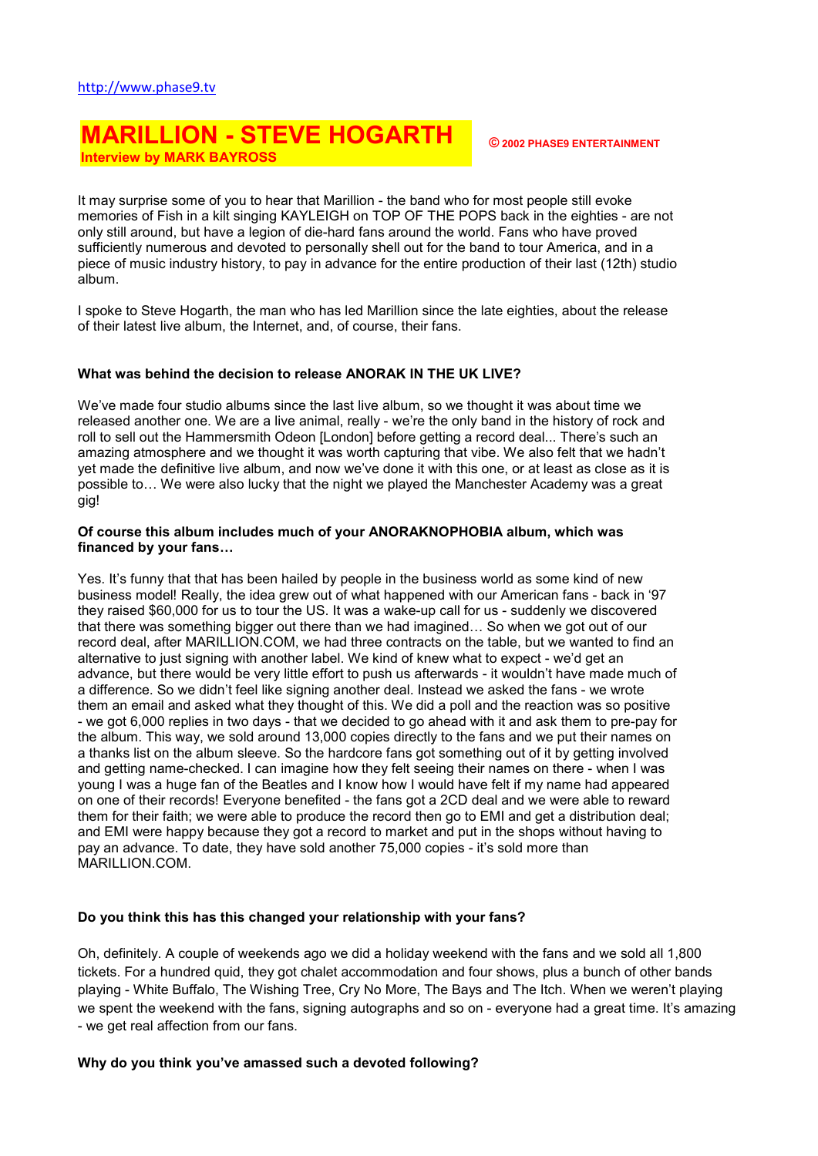# MARILLION - STEVE HOGARTH Interview by MARK BAYROSS

It may surprise some of you to hear that Marillion - the band who for most people still evoke memories of Fish in a kilt singing KAYLEIGH on TOP OF THE POPS back in the eighties - are not only still around, but have a legion of die-hard fans around the world. Fans who have proved sufficiently numerous and devoted to personally shell out for the band to tour America, and in a piece of music industry history, to pay in advance for the entire production of their last (12th) studio album.

I spoke to Steve Hogarth, the man who has led Marillion since the late eighties, about the release of their latest live album, the Internet, and, of course, their fans.

### What was behind the decision to release ANORAK IN THE UK LIVE?

We've made four studio albums since the last live album, so we thought it was about time we released another one. We are a live animal, really - we're the only band in the history of rock and roll to sell out the Hammersmith Odeon [London] before getting a record deal... There's such an amazing atmosphere and we thought it was worth capturing that vibe. We also felt that we hadn't yet made the definitive live album, and now we've done it with this one, or at least as close as it is possible to… We were also lucky that the night we played the Manchester Academy was a great gig!

### Of course this album includes much of your ANORAKNOPHOBIA album, which was financed by your fans…

Yes. It's funny that that has been hailed by people in the business world as some kind of new business model! Really, the idea grew out of what happened with our American fans - back in '97 they raised \$60,000 for us to tour the US. It was a wake-up call for us - suddenly we discovered that there was something bigger out there than we had imagined… So when we got out of our record deal, after MARILLION.COM, we had three contracts on the table, but we wanted to find an alternative to just signing with another label. We kind of knew what to expect - we'd get an advance, but there would be very little effort to push us afterwards - it wouldn't have made much of a difference. So we didn't feel like signing another deal. Instead we asked the fans - we wrote them an email and asked what they thought of this. We did a poll and the reaction was so positive - we got 6,000 replies in two days - that we decided to go ahead with it and ask them to pre-pay for the album. This way, we sold around 13,000 copies directly to the fans and we put their names on a thanks list on the album sleeve. So the hardcore fans got something out of it by getting involved and getting name-checked. I can imagine how they felt seeing their names on there - when I was young I was a huge fan of the Beatles and I know how I would have felt if my name had appeared on one of their records! Everyone benefited - the fans got a 2CD deal and we were able to reward them for their faith; we were able to produce the record then go to EMI and get a distribution deal; and EMI were happy because they got a record to market and put in the shops without having to pay an advance. To date, they have sold another 75,000 copies - it's sold more than MARILLION.COM.

### Do you think this has this changed your relationship with your fans?

Oh, definitely. A couple of weekends ago we did a holiday weekend with the fans and we sold all 1,800 tickets. For a hundred quid, they got chalet accommodation and four shows, plus a bunch of other bands playing - White Buffalo, The Wishing Tree, Cry No More, The Bays and The Itch. When we weren't playing we spent the weekend with the fans, signing autographs and so on - everyone had a great time. It's amazing - we get real affection from our fans.

### Why do you think you've amassed such a devoted following?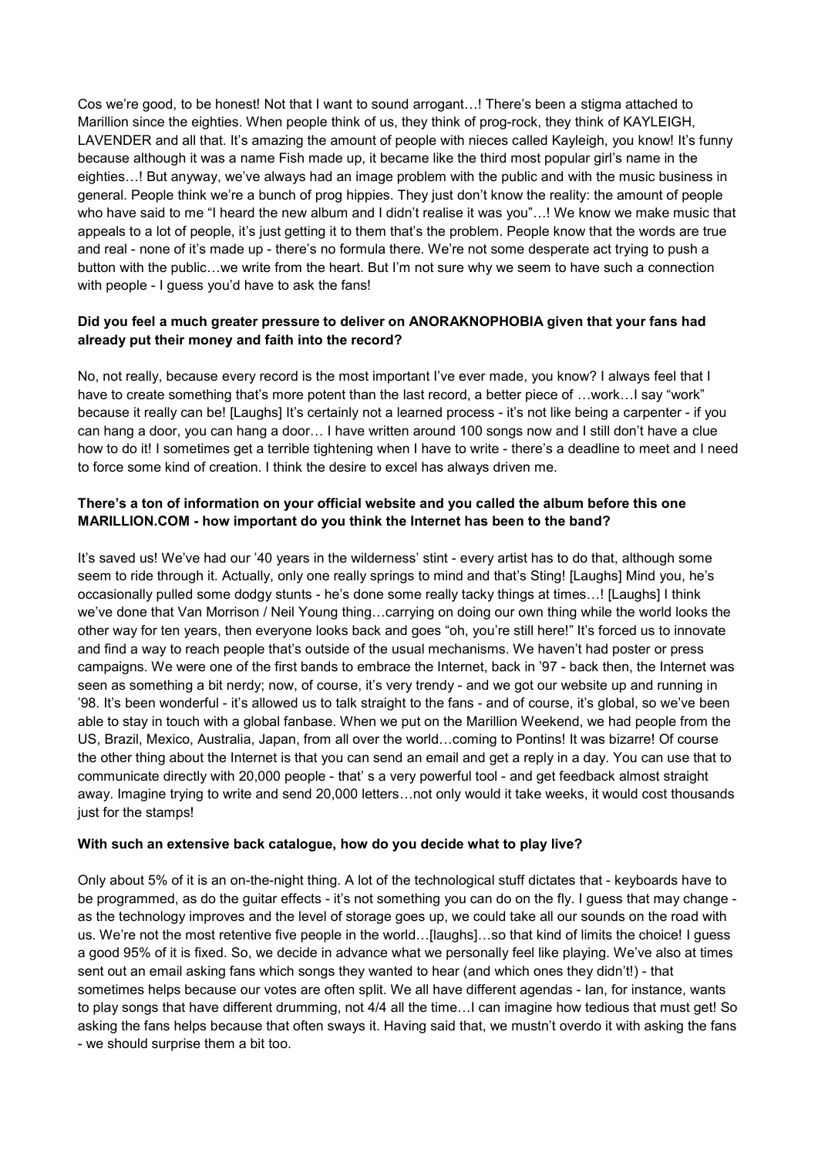Cos we're good, to be honest! Not that I want to sound arrogant…! There's been a stigma attached to Marillion since the eighties. When people think of us, they think of prog-rock, they think of KAYLEIGH, LAVENDER and all that. It's amazing the amount of people with nieces called Kayleigh, you know! It's funny because although it was a name Fish made up, it became like the third most popular girl's name in the eighties…! But anyway, we've always had an image problem with the public and with the music business in general. People think we're a bunch of prog hippies. They just don't know the reality: the amount of people who have said to me "I heard the new album and I didn't realise it was you"…! We know we make music that appeals to a lot of people, it's just getting it to them that's the problem. People know that the words are true and real - none of it's made up - there's no formula there. We're not some desperate act trying to push a button with the public…we write from the heart. But I'm not sure why we seem to have such a connection with people - I quess you'd have to ask the fans!

### Did you feel a much greater pressure to deliver on ANORAKNOPHOBIA given that your fans had already put their money and faith into the record?

No, not really, because every record is the most important I've ever made, you know? I always feel that I have to create something that's more potent than the last record, a better piece of ...work... I say "work" because it really can be! [Laughs] It's certainly not a learned process - it's not like being a carpenter - if you can hang a door, you can hang a door… I have written around 100 songs now and I still don't have a clue how to do it! I sometimes get a terrible tightening when I have to write - there's a deadline to meet and I need to force some kind of creation. I think the desire to excel has always driven me.

## There's a ton of information on your official website and you called the album before this one MARILLION.COM - how important do you think the Internet has been to the band?

It's saved us! We've had our '40 years in the wilderness' stint - every artist has to do that, although some seem to ride through it. Actually, only one really springs to mind and that's Sting! [Laughs] Mind you, he's occasionally pulled some dodgy stunts - he's done some really tacky things at times…! [Laughs] I think we've done that Van Morrison / Neil Young thing…carrying on doing our own thing while the world looks the other way for ten years, then everyone looks back and goes "oh, you're still here!" It's forced us to innovate and find a way to reach people that's outside of the usual mechanisms. We haven't had poster or press campaigns. We were one of the first bands to embrace the Internet, back in '97 - back then, the Internet was seen as something a bit nerdy; now, of course, it's very trendy - and we got our website up and running in '98. It's been wonderful - it's allowed us to talk straight to the fans - and of course, it's global, so we've been able to stay in touch with a global fanbase. When we put on the Marillion Weekend, we had people from the US, Brazil, Mexico, Australia, Japan, from all over the world…coming to Pontins! It was bizarre! Of course the other thing about the Internet is that you can send an email and get a reply in a day. You can use that to communicate directly with 20,000 people - that' s a very powerful tool - and get feedback almost straight away. Imagine trying to write and send 20,000 letters…not only would it take weeks, it would cost thousands just for the stamps!

### With such an extensive back catalogue, how do you decide what to play live?

Only about 5% of it is an on-the-night thing. A lot of the technological stuff dictates that - keyboards have to be programmed, as do the guitar effects - it's not something you can do on the fly. I guess that may change as the technology improves and the level of storage goes up, we could take all our sounds on the road with us. We're not the most retentive five people in the world…[laughs]…so that kind of limits the choice! I guess a good 95% of it is fixed. So, we decide in advance what we personally feel like playing. We've also at times sent out an email asking fans which songs they wanted to hear (and which ones they didn't!) - that sometimes helps because our votes are often split. We all have different agendas - Ian, for instance, wants to play songs that have different drumming, not 4/4 all the time... can imagine how tedious that must get! So asking the fans helps because that often sways it. Having said that, we mustn't overdo it with asking the fans - we should surprise them a bit too.